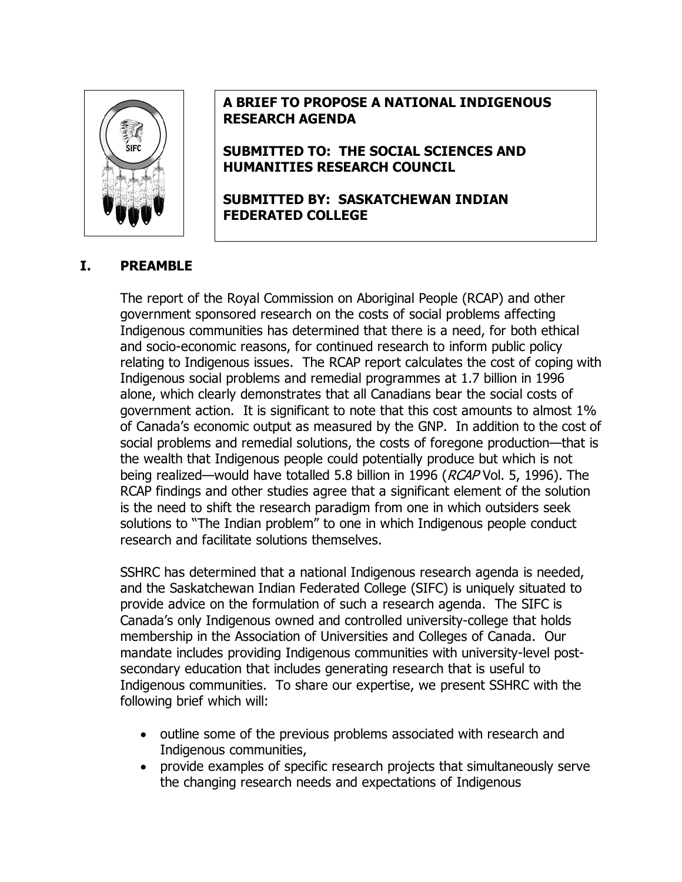

# **A BRIEF TO PROPOSE A NATIONAL INDIGENOUS RESEARCH AGENDA**

**SUBMITTED TO: THE SOCIAL SCIENCES AND HUMANITIES RESEARCH COUNCIL** 

**SUBMITTED BY: SASKATCHEWAN INDIAN FEDERATED COLLEGE** 

## **I. PREAMBLE**

The report of the Royal Commission on Aboriginal People (RCAP) and other government sponsored research on the costs of social problems affecting Indigenous communities has determined that there is a need, for both ethical and socio-economic reasons, for continued research to inform public policy relating to Indigenous issues. The RCAP report calculates the cost of coping with Indigenous social problems and remedial programmes at 1.7 billion in 1996 alone, which clearly demonstrates that all Canadians bear the social costs of government action. It is significant to note that this cost amounts to almost 1% of Canada's economic output as measured by the GNP. In addition to the cost of social problems and remedial solutions, the costs of foregone production—that is the wealth that Indigenous people could potentially produce but which is not being realized—would have totalled 5.8 billion in 1996 (RCAP Vol. 5, 1996). The RCAP findings and other studies agree that a significant element of the solution is the need to shift the research paradigm from one in which outsiders seek solutions to "The Indian problem" to one in which Indigenous people conduct research and facilitate solutions themselves.

SSHRC has determined that a national Indigenous research agenda is needed, and the Saskatchewan Indian Federated College (SIFC) is uniquely situated to provide advice on the formulation of such a research agenda. The SIFC is Canada's only Indigenous owned and controlled university-college that holds membership in the Association of Universities and Colleges of Canada. Our mandate includes providing Indigenous communities with university-level postsecondary education that includes generating research that is useful to Indigenous communities. To share our expertise, we present SSHRC with the following brief which will:

- outline some of the previous problems associated with research and Indigenous communities,
- provide examples of specific research projects that simultaneously serve the changing research needs and expectations of Indigenous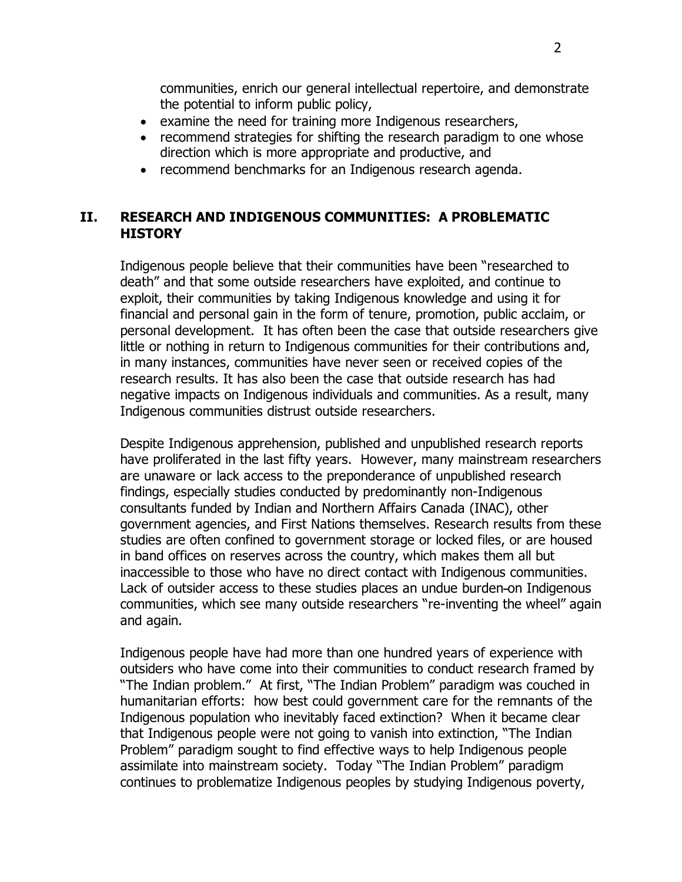communities, enrich our general intellectual repertoire, and demonstrate the potential to inform public policy,

- examine the need for training more Indigenous researchers,
- recommend strategies for shifting the research paradigm to one whose direction which is more appropriate and productive, and
- recommend benchmarks for an Indigenous research agenda.

## **II. RESEARCH AND INDIGENOUS COMMUNITIES: A PROBLEMATIC HISTORY**

Indigenous people believe that their communities have been "researched to death" and that some outside researchers have exploited, and continue to exploit, their communities by taking Indigenous knowledge and using it for financial and personal gain in the form of tenure, promotion, public acclaim, or personal development. It has often been the case that outside researchers give little or nothing in return to Indigenous communities for their contributions and, in many instances, communities have never seen or received copies of the research results. It has also been the case that outside research has had negative impacts on Indigenous individuals and communities. As a result, many Indigenous communities distrust outside researchers.

Despite Indigenous apprehension, published and unpublished research reports have proliferated in the last fifty years. However, many mainstream researchers are unaware or lack access to the preponderance of unpublished research findings, especially studies conducted by predominantly non-Indigenous consultants funded by Indian and Northern Affairs Canada (INAC), other government agencies, and First Nations themselves. Research results from these studies are often confined to government storage or locked files, or are housed in band offices on reserves across the country, which makes them all but inaccessible to those who have no direct contact with Indigenous communities. Lack of outsider access to these studies places an undue burden-on Indigenous communities, which see many outside researchers "re-inventing the wheel" again and again.

Indigenous people have had more than one hundred years of experience with outsiders who have come into their communities to conduct research framed by "The Indian problem." At first, "The Indian Problem" paradigm was couched in humanitarian efforts: how best could government care for the remnants of the Indigenous population who inevitably faced extinction? When it became clear that Indigenous people were not going to vanish into extinction, "The Indian Problem" paradigm sought to find effective ways to help Indigenous people assimilate into mainstream society. Today "The Indian Problem" paradigm continues to problematize Indigenous peoples by studying Indigenous poverty,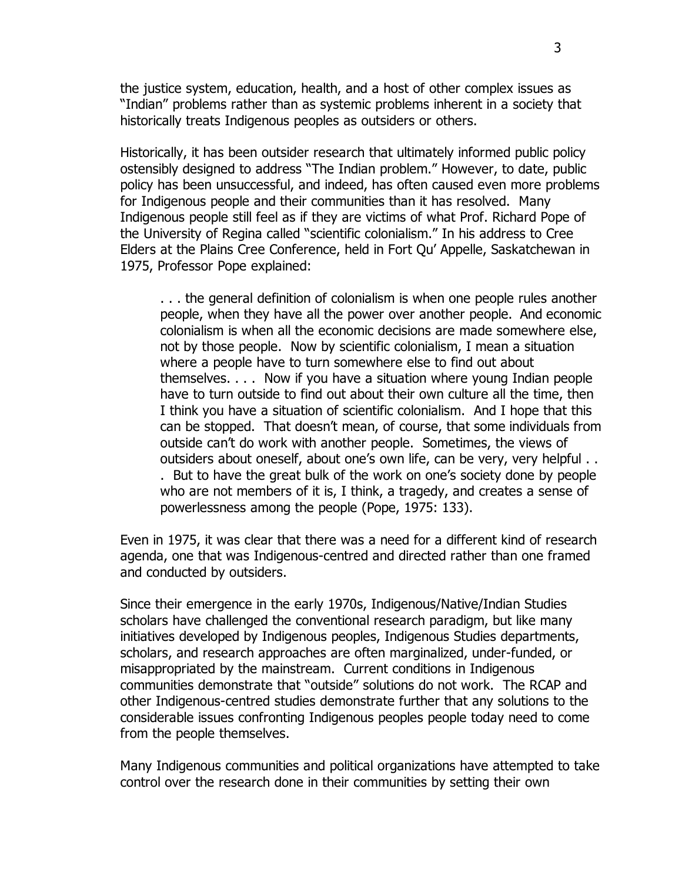the justice system, education, health, and a host of other complex issues as "Indian" problems rather than as systemic problems inherent in a society that historically treats Indigenous peoples as outsiders or others.

Historically, it has been outsider research that ultimately informed public policy ostensibly designed to address "The Indian problem." However, to date, public policy has been unsuccessful, and indeed, has often caused even more problems for Indigenous people and their communities than it has resolved. Many Indigenous people still feel as if they are victims of what Prof. Richard Pope of the University of Regina called "scientific colonialism." In his address to Cree Elders at the Plains Cree Conference, held in Fort Qu' Appelle, Saskatchewan in 1975, Professor Pope explained:

. . . the general definition of colonialism is when one people rules another people, when they have all the power over another people. And economic colonialism is when all the economic decisions are made somewhere else, not by those people. Now by scientific colonialism, I mean a situation where a people have to turn somewhere else to find out about themselves. . . . Now if you have a situation where young Indian people have to turn outside to find out about their own culture all the time, then I think you have a situation of scientific colonialism. And I hope that this can be stopped. That doesn't mean, of course, that some individuals from outside can't do work with another people. Sometimes, the views of outsiders about oneself, about one's own life, can be very, very helpful . . . But to have the great bulk of the work on one's society done by people who are not members of it is, I think, a tragedy, and creates a sense of powerlessness among the people (Pope, 1975: 133).

Even in 1975, it was clear that there was a need for a different kind of research agenda, one that was Indigenous-centred and directed rather than one framed and conducted by outsiders.

Since their emergence in the early 1970s, Indigenous/Native/Indian Studies scholars have challenged the conventional research paradigm, but like many initiatives developed by Indigenous peoples, Indigenous Studies departments, scholars, and research approaches are often marginalized, under-funded, or misappropriated by the mainstream. Current conditions in Indigenous communities demonstrate that "outside" solutions do not work. The RCAP and other Indigenous-centred studies demonstrate further that any solutions to the considerable issues confronting Indigenous peoples people today need to come from the people themselves.

Many Indigenous communities and political organizations have attempted to take control over the research done in their communities by setting their own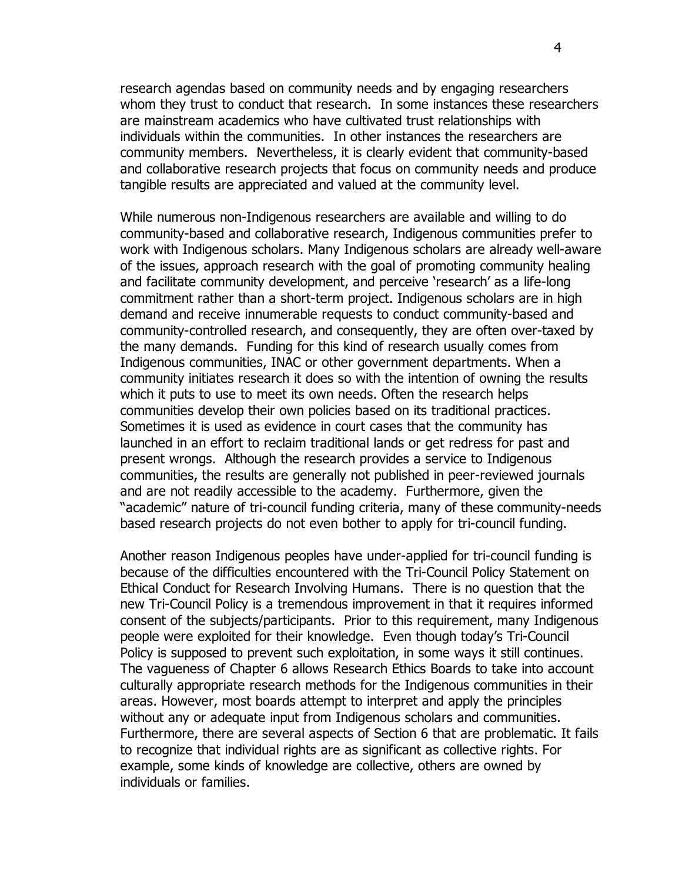research agendas based on community needs and by engaging researchers whom they trust to conduct that research. In some instances these researchers are mainstream academics who have cultivated trust relationships with individuals within the communities. In other instances the researchers are community members. Nevertheless, it is clearly evident that community-based and collaborative research projects that focus on community needs and produce tangible results are appreciated and valued at the community level.

While numerous non-Indigenous researchers are available and willing to do community-based and collaborative research, Indigenous communities prefer to work with Indigenous scholars. Many Indigenous scholars are already well-aware of the issues, approach research with the goal of promoting community healing and facilitate community development, and perceive 'research' as a life-long commitment rather than a short-term project. Indigenous scholars are in high demand and receive innumerable requests to conduct community-based and community-controlled research, and consequently, they are often over-taxed by the many demands. Funding for this kind of research usually comes from Indigenous communities, INAC or other government departments. When a community initiates research it does so with the intention of owning the results which it puts to use to meet its own needs. Often the research helps communities develop their own policies based on its traditional practices. Sometimes it is used as evidence in court cases that the community has launched in an effort to reclaim traditional lands or get redress for past and present wrongs. Although the research provides a service to Indigenous communities, the results are generally not published in peer-reviewed journals and are not readily accessible to the academy. Furthermore, given the "academic" nature of tri-council funding criteria, many of these community-needs based research projects do not even bother to apply for tri-council funding.

Another reason Indigenous peoples have under-applied for tri-council funding is because of the difficulties encountered with the Tri-Council Policy Statement on Ethical Conduct for Research Involving Humans. There is no question that the new Tri-Council Policy is a tremendous improvement in that it requires informed consent of the subjects/participants. Prior to this requirement, many Indigenous people were exploited for their knowledge. Even though today's Tri-Council Policy is supposed to prevent such exploitation, in some ways it still continues. The vagueness of Chapter 6 allows Research Ethics Boards to take into account culturally appropriate research methods for the Indigenous communities in their areas. However, most boards attempt to interpret and apply the principles without any or adequate input from Indigenous scholars and communities. Furthermore, there are several aspects of Section 6 that are problematic. It fails to recognize that individual rights are as significant as collective rights. For example, some kinds of knowledge are collective, others are owned by individuals or families.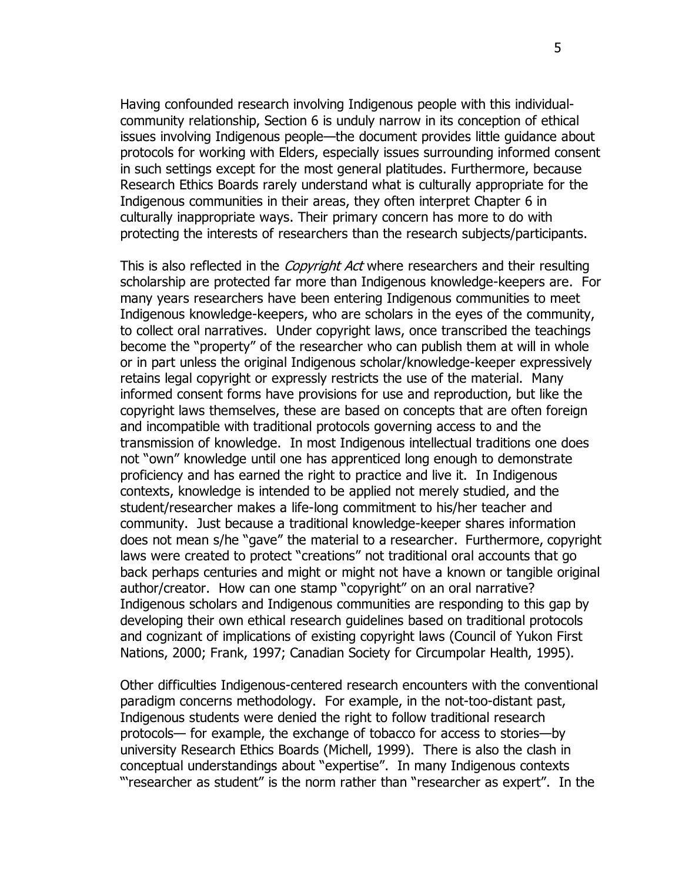Having confounded research involving Indigenous people with this individualcommunity relationship, Section 6 is unduly narrow in its conception of ethical issues involving Indigenous people—the document provides little guidance about protocols for working with Elders, especially issues surrounding informed consent in such settings except for the most general platitudes. Furthermore, because Research Ethics Boards rarely understand what is culturally appropriate for the Indigenous communities in their areas, they often interpret Chapter 6 in culturally inappropriate ways. Their primary concern has more to do with protecting the interests of researchers than the research subjects/participants.

This is also reflected in the *Copyright Act* where researchers and their resulting scholarship are protected far more than Indigenous knowledge-keepers are. For many years researchers have been entering Indigenous communities to meet Indigenous knowledge-keepers, who are scholars in the eyes of the community, to collect oral narratives. Under copyright laws, once transcribed the teachings become the "property" of the researcher who can publish them at will in whole or in part unless the original Indigenous scholar/knowledge-keeper expressively retains legal copyright or expressly restricts the use of the material. Many informed consent forms have provisions for use and reproduction, but like the copyright laws themselves, these are based on concepts that are often foreign and incompatible with traditional protocols governing access to and the transmission of knowledge. In most Indigenous intellectual traditions one does not "own" knowledge until one has apprenticed long enough to demonstrate proficiency and has earned the right to practice and live it. In Indigenous contexts, knowledge is intended to be applied not merely studied, and the student/researcher makes a life-long commitment to his/her teacher and community. Just because a traditional knowledge-keeper shares information does not mean s/he "gave" the material to a researcher. Furthermore, copyright laws were created to protect "creations" not traditional oral accounts that go back perhaps centuries and might or might not have a known or tangible original author/creator. How can one stamp "copyright" on an oral narrative? Indigenous scholars and Indigenous communities are responding to this gap by developing their own ethical research guidelines based on traditional protocols and cognizant of implications of existing copyright laws (Council of Yukon First Nations, 2000; Frank, 1997; Canadian Society for Circumpolar Health, 1995).

Other difficulties Indigenous-centered research encounters with the conventional paradigm concerns methodology. For example, in the not-too-distant past, Indigenous students were denied the right to follow traditional research protocols— for example, the exchange of tobacco for access to stories—by university Research Ethics Boards (Michell, 1999). There is also the clash in conceptual understandings about "expertise". In many Indigenous contexts "researcher as student" is the norm rather than "researcher as expert". In the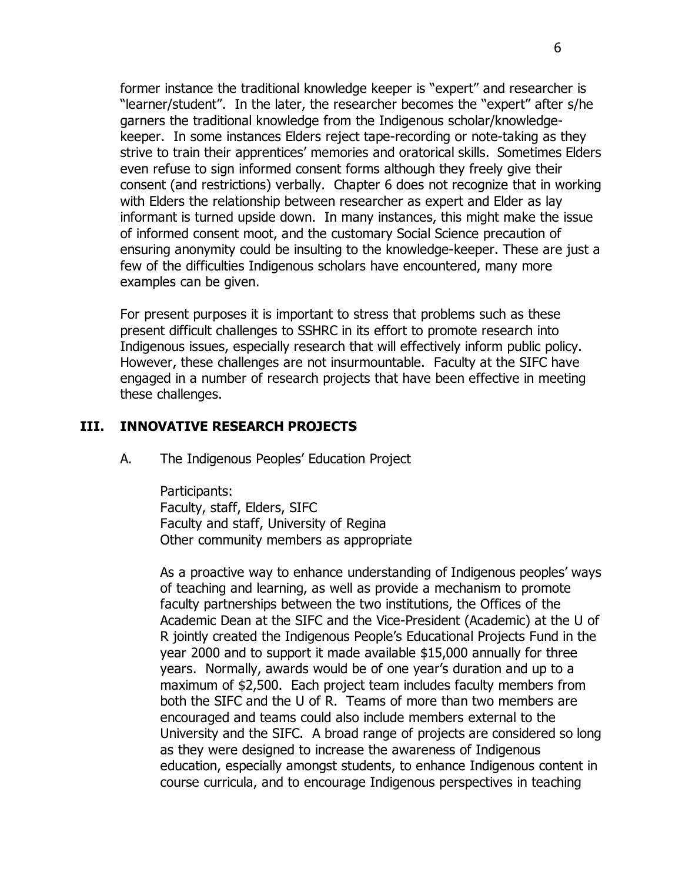former instance the traditional knowledge keeper is "expert" and researcher is "learner/student". In the later, the researcher becomes the "expert" after s/he garners the traditional knowledge from the Indigenous scholar/knowledgekeeper. In some instances Elders reject tape-recording or note-taking as they strive to train their apprentices' memories and oratorical skills. Sometimes Elders even refuse to sign informed consent forms although they freely give their consent (and restrictions) verbally. Chapter 6 does not recognize that in working with Elders the relationship between researcher as expert and Elder as lay informant is turned upside down. In many instances, this might make the issue of informed consent moot, and the customary Social Science precaution of ensuring anonymity could be insulting to the knowledge-keeper. These are just a few of the difficulties Indigenous scholars have encountered, many more examples can be given.

For present purposes it is important to stress that problems such as these present difficult challenges to SSHRC in its effort to promote research into Indigenous issues, especially research that will effectively inform public policy. However, these challenges are not insurmountable. Faculty at the SIFC have engaged in a number of research projects that have been effective in meeting these challenges.

#### **III. INNOVATIVE RESEARCH PROJECTS**

A. The Indigenous Peoples' Education Project

Participants: Faculty, staff, Elders, SIFC Faculty and staff, University of Regina Other community members as appropriate

As a proactive way to enhance understanding of Indigenous peoples' ways of teaching and learning, as well as provide a mechanism to promote faculty partnerships between the two institutions, the Offices of the Academic Dean at the SIFC and the Vice-President (Academic) at the U of R jointly created the Indigenous People's Educational Projects Fund in the year 2000 and to support it made available \$15,000 annually for three years. Normally, awards would be of one year's duration and up to a maximum of \$2,500. Each project team includes faculty members from both the SIFC and the U of R. Teams of more than two members are encouraged and teams could also include members external to the University and the SIFC. A broad range of projects are considered so long as they were designed to increase the awareness of Indigenous education, especially amongst students, to enhance Indigenous content in course curricula, and to encourage Indigenous perspectives in teaching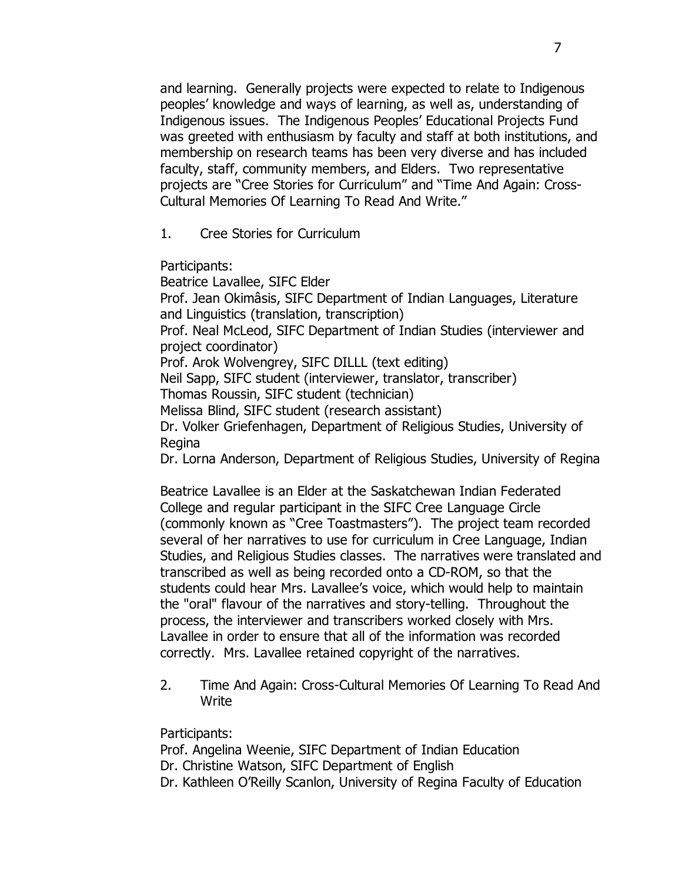and learning. Generally projects were expected to relate to Indigenous peoples' knowledge and ways of learning, as well as, understanding of Indigenous issues. The Indigenous Peoples' Educational Projects Fund was greeted with enthusiasm by faculty and staff at both institutions, and membership on research teams has been very diverse and has included faculty, staff, community members, and Elders. Two representative projects are "Cree Stories for Curriculum" and "Time And Again: Cross-Cultural Memories Of Learning To Read And Write."

1. Cree Stories for Curriculum

Participants:

Beatrice Lavallee, SIFC Elder Prof. Jean Okimâsis, SIFC Department of Indian Languages, Literature and Linguistics (translation, transcription) Prof. Neal McLeod, SIFC Department of Indian Studies (interviewer and project coordinator) Prof. Arok Wolvengrey, SIFC DILLL (text editing) Neil Sapp, SIFC student (interviewer, translator, transcriber) Thomas Roussin, SIFC student (technician) Melissa Blind, SIFC student (research assistant) Dr. Volker Griefenhagen, Department of Religious Studies, University of Regina Dr. Lorna Anderson, Department of Religious Studies, University of Regina

Beatrice Lavallee is an Elder at the Saskatchewan Indian Federated College and regular participant in the SIFC Cree Language Circle (commonly known as "Cree Toastmasters"). The project team recorded several of her narratives to use for curriculum in Cree Language, Indian Studies, and Religious Studies classes. The narratives were translated and transcribed as well as being recorded onto a CD-ROM, so that the students could hear Mrs. Lavallee's voice, which would help to maintain the "oral" flavour of the narratives and story-telling. Throughout the process, the interviewer and transcribers worked closely with Mrs. Lavallee in order to ensure that all of the information was recorded correctly. Mrs. Lavallee retained copyright of the narratives.

2. Time And Again: Cross-Cultural Memories Of Learning To Read And **Write** 

Participants:

Prof. Angelina Weenie, SIFC Department of Indian Education Dr. Christine Watson, SIFC Department of English Dr. Kathleen O'Reilly Scanlon, University of Regina Faculty of Education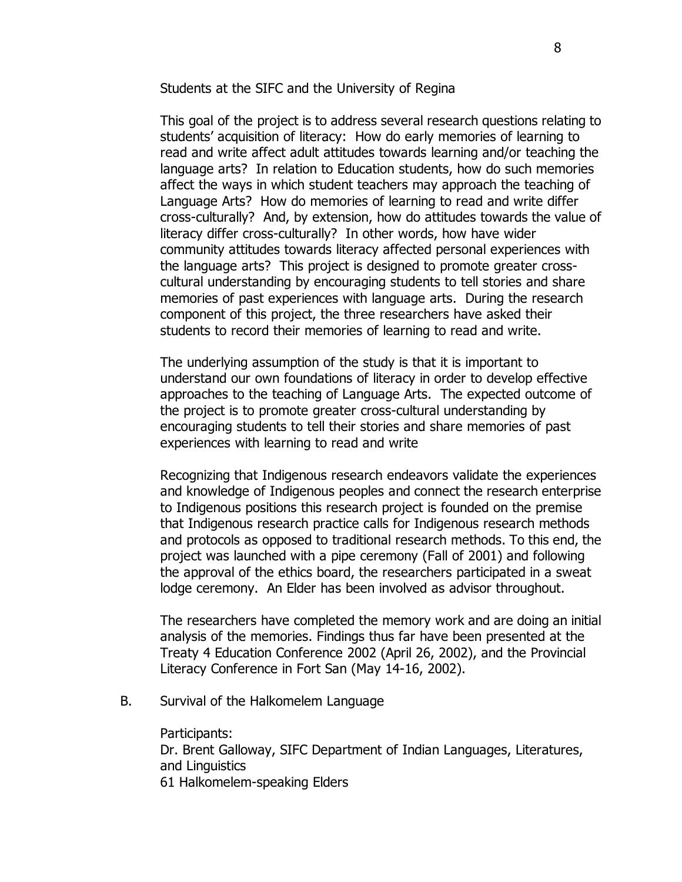Students at the SIFC and the University of Regina

This goal of the project is to address several research questions relating to students' acquisition of literacy: How do early memories of learning to read and write affect adult attitudes towards learning and/or teaching the language arts? In relation to Education students, how do such memories affect the ways in which student teachers may approach the teaching of Language Arts? How do memories of learning to read and write differ cross-culturally? And, by extension, how do attitudes towards the value of literacy differ cross-culturally? In other words, how have wider community attitudes towards literacy affected personal experiences with the language arts? This project is designed to promote greater crosscultural understanding by encouraging students to tell stories and share memories of past experiences with language arts. During the research component of this project, the three researchers have asked their students to record their memories of learning to read and write.

The underlying assumption of the study is that it is important to understand our own foundations of literacy in order to develop effective approaches to the teaching of Language Arts. The expected outcome of the project is to promote greater cross-cultural understanding by encouraging students to tell their stories and share memories of past experiences with learning to read and write

Recognizing that Indigenous research endeavors validate the experiences and knowledge of Indigenous peoples and connect the research enterprise to Indigenous positions this research project is founded on the premise that Indigenous research practice calls for Indigenous research methods and protocols as opposed to traditional research methods. To this end, the project was launched with a pipe ceremony (Fall of 2001) and following the approval of the ethics board, the researchers participated in a sweat lodge ceremony. An Elder has been involved as advisor throughout.

The researchers have completed the memory work and are doing an initial analysis of the memories. Findings thus far have been presented at the Treaty 4 Education Conference 2002 (April 26, 2002), and the Provincial Literacy Conference in Fort San (May 14-16, 2002).

B. Survival of the Halkomelem Language

Participants: Dr. Brent Galloway, SIFC Department of Indian Languages, Literatures, and Linguistics 61 Halkomelem-speaking Elders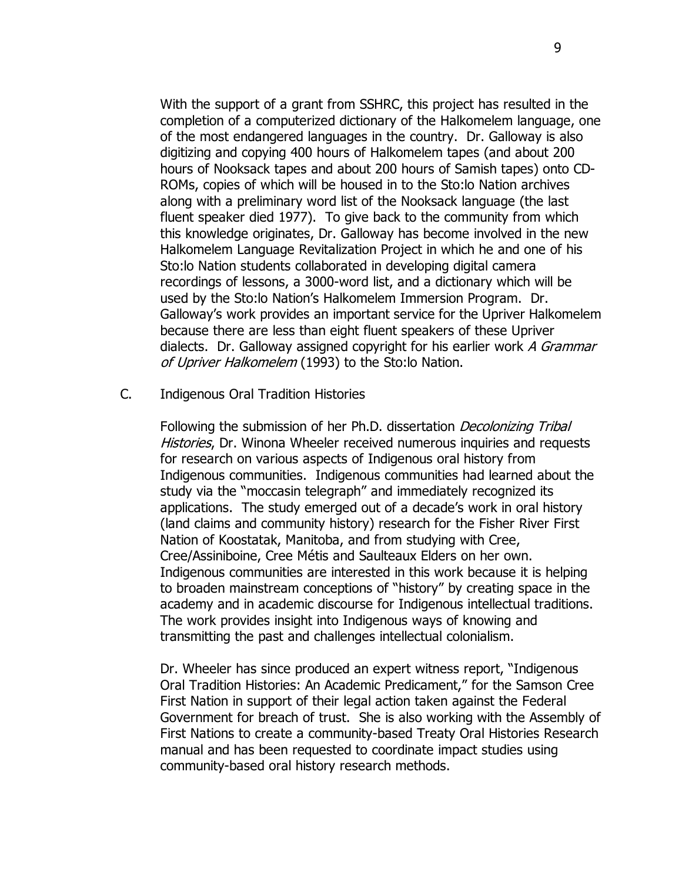With the support of a grant from SSHRC, this project has resulted in the completion of a computerized dictionary of the Halkomelem language, one of the most endangered languages in the country. Dr. Galloway is also digitizing and copying 400 hours of Halkomelem tapes (and about 200 hours of Nooksack tapes and about 200 hours of Samish tapes) onto CD-ROMs, copies of which will be housed in to the Sto:lo Nation archives along with a preliminary word list of the Nooksack language (the last fluent speaker died 1977). To give back to the community from which this knowledge originates, Dr. Galloway has become involved in the new Halkomelem Language Revitalization Project in which he and one of his Sto:lo Nation students collaborated in developing digital camera recordings of lessons, a 3000-word list, and a dictionary which will be used by the Sto:lo Nation's Halkomelem Immersion Program. Dr. Galloway's work provides an important service for the Upriver Halkomelem because there are less than eight fluent speakers of these Upriver dialects. Dr. Galloway assigned copyright for his earlier work A Grammar of Upriver Halkomelem (1993) to the Sto:lo Nation.

C. Indigenous Oral Tradition Histories

Following the submission of her Ph.D. dissertation *Decolonizing Tribal* Histories, Dr. Winona Wheeler received numerous inquiries and requests for research on various aspects of Indigenous oral history from Indigenous communities. Indigenous communities had learned about the study via the "moccasin telegraph" and immediately recognized its applications. The study emerged out of a decade's work in oral history (land claims and community history) research for the Fisher River First Nation of Koostatak, Manitoba, and from studying with Cree, Cree/Assiniboine, Cree Métis and Saulteaux Elders on her own. Indigenous communities are interested in this work because it is helping to broaden mainstream conceptions of "history" by creating space in the academy and in academic discourse for Indigenous intellectual traditions. The work provides insight into Indigenous ways of knowing and transmitting the past and challenges intellectual colonialism.

Dr. Wheeler has since produced an expert witness report, "Indigenous Oral Tradition Histories: An Academic Predicament," for the Samson Cree First Nation in support of their legal action taken against the Federal Government for breach of trust. She is also working with the Assembly of First Nations to create a community-based Treaty Oral Histories Research manual and has been requested to coordinate impact studies using community-based oral history research methods.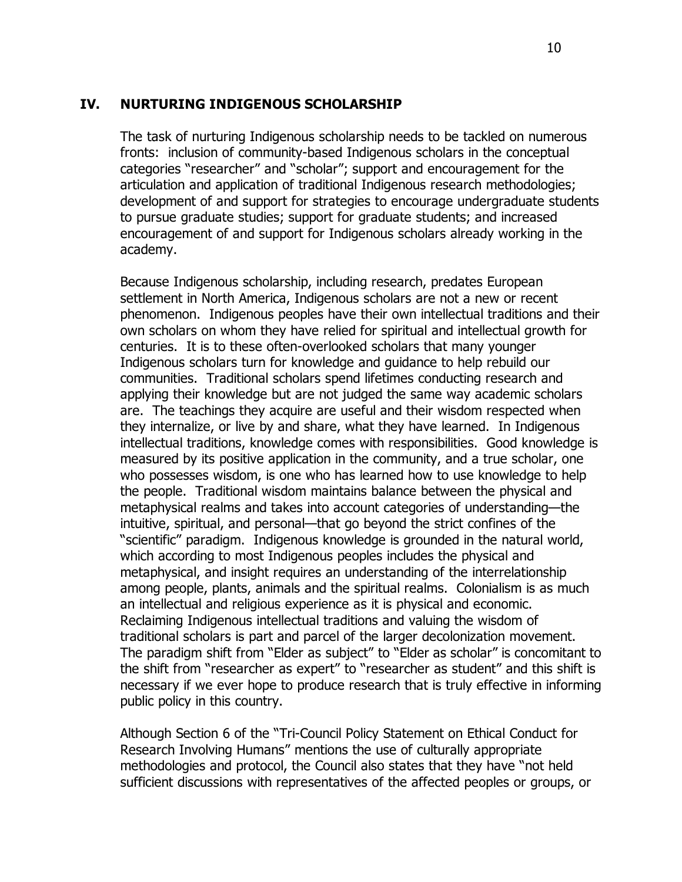#### **IV. NURTURING INDIGENOUS SCHOLARSHIP**

The task of nurturing Indigenous scholarship needs to be tackled on numerous fronts: inclusion of community-based Indigenous scholars in the conceptual categories "researcher" and "scholar"; support and encouragement for the articulation and application of traditional Indigenous research methodologies; development of and support for strategies to encourage undergraduate students to pursue graduate studies; support for graduate students; and increased encouragement of and support for Indigenous scholars already working in the academy.

Because Indigenous scholarship, including research, predates European settlement in North America, Indigenous scholars are not a new or recent phenomenon. Indigenous peoples have their own intellectual traditions and their own scholars on whom they have relied for spiritual and intellectual growth for centuries. It is to these often-overlooked scholars that many younger Indigenous scholars turn for knowledge and guidance to help rebuild our communities. Traditional scholars spend lifetimes conducting research and applying their knowledge but are not judged the same way academic scholars are. The teachings they acquire are useful and their wisdom respected when they internalize, or live by and share, what they have learned. In Indigenous intellectual traditions, knowledge comes with responsibilities. Good knowledge is measured by its positive application in the community, and a true scholar, one who possesses wisdom, is one who has learned how to use knowledge to help the people. Traditional wisdom maintains balance between the physical and metaphysical realms and takes into account categories of understanding—the intuitive, spiritual, and personal—that go beyond the strict confines of the "scientific" paradigm. Indigenous knowledge is grounded in the natural world, which according to most Indigenous peoples includes the physical and metaphysical, and insight requires an understanding of the interrelationship among people, plants, animals and the spiritual realms. Colonialism is as much an intellectual and religious experience as it is physical and economic. Reclaiming Indigenous intellectual traditions and valuing the wisdom of traditional scholars is part and parcel of the larger decolonization movement. The paradigm shift from "Elder as subject" to "Elder as scholar" is concomitant to the shift from "researcher as expert" to "researcher as student" and this shift is necessary if we ever hope to produce research that is truly effective in informing public policy in this country.

Although Section 6 of the "Tri-Council Policy Statement on Ethical Conduct for Research Involving Humans" mentions the use of culturally appropriate methodologies and protocol, the Council also states that they have "not held sufficient discussions with representatives of the affected peoples or groups, or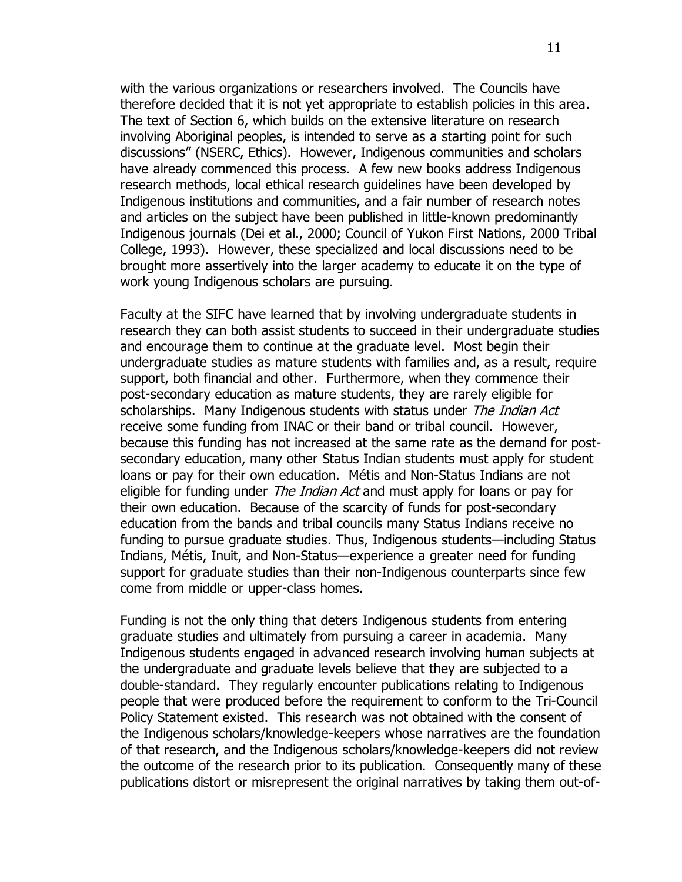with the various organizations or researchers involved. The Councils have therefore decided that it is not yet appropriate to establish policies in this area. The text of Section 6, which builds on the extensive literature on research involving Aboriginal peoples, is intended to serve as a starting point for such discussions" (NSERC, Ethics). However, Indigenous communities and scholars have already commenced this process. A few new books address Indigenous research methods, local ethical research guidelines have been developed by Indigenous institutions and communities, and a fair number of research notes and articles on the subject have been published in little-known predominantly Indigenous journals (Dei et al., 2000; Council of Yukon First Nations, 2000 Tribal College, 1993). However, these specialized and local discussions need to be brought more assertively into the larger academy to educate it on the type of work young Indigenous scholars are pursuing.

Faculty at the SIFC have learned that by involving undergraduate students in research they can both assist students to succeed in their undergraduate studies and encourage them to continue at the graduate level. Most begin their undergraduate studies as mature students with families and, as a result, require support, both financial and other. Furthermore, when they commence their post-secondary education as mature students, they are rarely eligible for scholarships. Many Indigenous students with status under The Indian Act receive some funding from INAC or their band or tribal council. However, because this funding has not increased at the same rate as the demand for postsecondary education, many other Status Indian students must apply for student loans or pay for their own education. Métis and Non-Status Indians are not eligible for funding under *The Indian Act* and must apply for loans or pay for their own education. Because of the scarcity of funds for post-secondary education from the bands and tribal councils many Status Indians receive no funding to pursue graduate studies. Thus, Indigenous students—including Status Indians, Métis, Inuit, and Non-Status—experience a greater need for funding support for graduate studies than their non-Indigenous counterparts since few come from middle or upper-class homes.

Funding is not the only thing that deters Indigenous students from entering graduate studies and ultimately from pursuing a career in academia. Many Indigenous students engaged in advanced research involving human subjects at the undergraduate and graduate levels believe that they are subjected to a double-standard. They regularly encounter publications relating to Indigenous people that were produced before the requirement to conform to the Tri-Council Policy Statement existed. This research was not obtained with the consent of the Indigenous scholars/knowledge-keepers whose narratives are the foundation of that research, and the Indigenous scholars/knowledge-keepers did not review the outcome of the research prior to its publication. Consequently many of these publications distort or misrepresent the original narratives by taking them out-of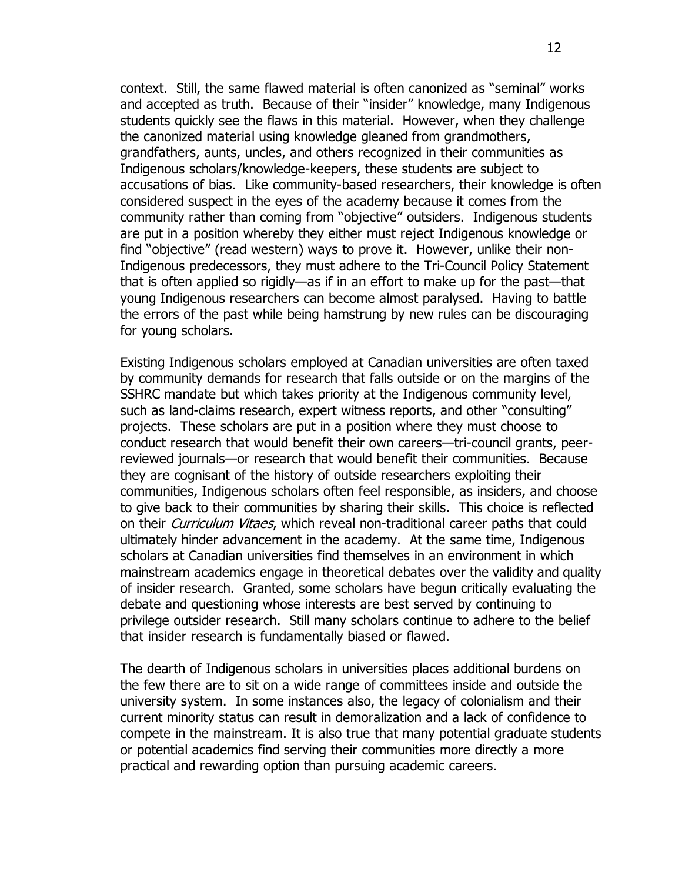context. Still, the same flawed material is often canonized as "seminal" works and accepted as truth. Because of their "insider" knowledge, many Indigenous students quickly see the flaws in this material. However, when they challenge the canonized material using knowledge gleaned from grandmothers, grandfathers, aunts, uncles, and others recognized in their communities as Indigenous scholars/knowledge-keepers, these students are subject to accusations of bias. Like community-based researchers, their knowledge is often considered suspect in the eyes of the academy because it comes from the community rather than coming from "objective" outsiders. Indigenous students are put in a position whereby they either must reject Indigenous knowledge or find "objective" (read western) ways to prove it. However, unlike their non-Indigenous predecessors, they must adhere to the Tri-Council Policy Statement that is often applied so rigidly—as if in an effort to make up for the past—that young Indigenous researchers can become almost paralysed. Having to battle the errors of the past while being hamstrung by new rules can be discouraging for young scholars.

Existing Indigenous scholars employed at Canadian universities are often taxed by community demands for research that falls outside or on the margins of the SSHRC mandate but which takes priority at the Indigenous community level, such as land-claims research, expert witness reports, and other "consulting" projects. These scholars are put in a position where they must choose to conduct research that would benefit their own careers—tri-council grants, peerreviewed journals—or research that would benefit their communities. Because they are cognisant of the history of outside researchers exploiting their communities, Indigenous scholars often feel responsible, as insiders, and choose to give back to their communities by sharing their skills. This choice is reflected on their *Curriculum Vitaes*, which reveal non-traditional career paths that could ultimately hinder advancement in the academy. At the same time, Indigenous scholars at Canadian universities find themselves in an environment in which mainstream academics engage in theoretical debates over the validity and quality of insider research. Granted, some scholars have begun critically evaluating the debate and questioning whose interests are best served by continuing to privilege outsider research. Still many scholars continue to adhere to the belief that insider research is fundamentally biased or flawed.

The dearth of Indigenous scholars in universities places additional burdens on the few there are to sit on a wide range of committees inside and outside the university system. In some instances also, the legacy of colonialism and their current minority status can result in demoralization and a lack of confidence to compete in the mainstream. It is also true that many potential graduate students or potential academics find serving their communities more directly a more practical and rewarding option than pursuing academic careers.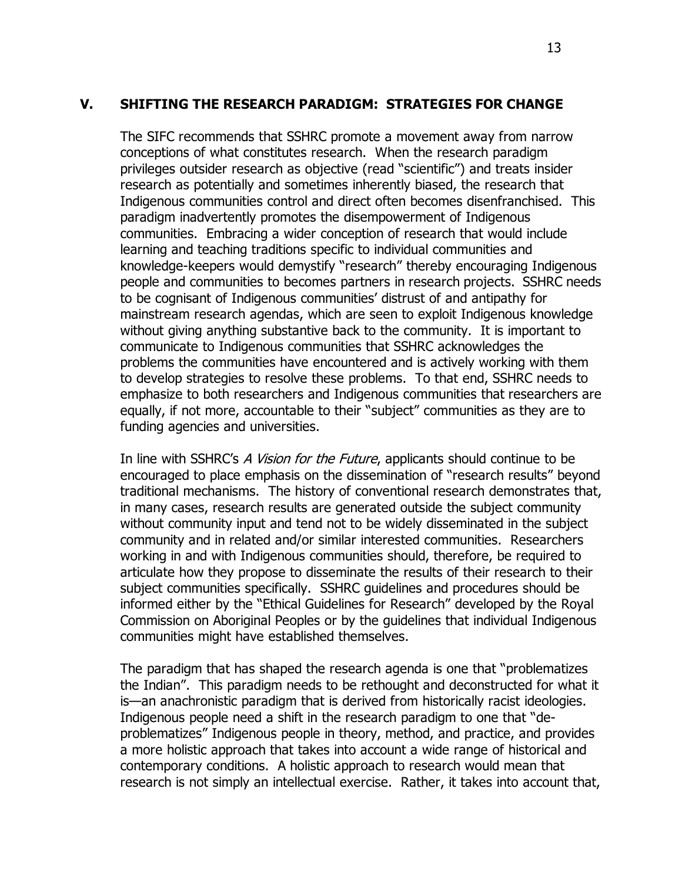#### **V. SHIFTING THE RESEARCH PARADIGM: STRATEGIES FOR CHANGE**

The SIFC recommends that SSHRC promote a movement away from narrow conceptions of what constitutes research. When the research paradigm privileges outsider research as objective (read "scientific") and treats insider research as potentially and sometimes inherently biased, the research that Indigenous communities control and direct often becomes disenfranchised. This paradigm inadvertently promotes the disempowerment of Indigenous communities. Embracing a wider conception of research that would include learning and teaching traditions specific to individual communities and knowledge-keepers would demystify "research" thereby encouraging Indigenous people and communities to becomes partners in research projects. SSHRC needs to be cognisant of Indigenous communities' distrust of and antipathy for mainstream research agendas, which are seen to exploit Indigenous knowledge without giving anything substantive back to the community. It is important to communicate to Indigenous communities that SSHRC acknowledges the problems the communities have encountered and is actively working with them to develop strategies to resolve these problems. To that end, SSHRC needs to emphasize to both researchers and Indigenous communities that researchers are equally, if not more, accountable to their "subject" communities as they are to funding agencies and universities.

In line with SSHRC's A Vision for the Future, applicants should continue to be encouraged to place emphasis on the dissemination of "research results" beyond traditional mechanisms. The history of conventional research demonstrates that, in many cases, research results are generated outside the subject community without community input and tend not to be widely disseminated in the subject community and in related and/or similar interested communities. Researchers working in and with Indigenous communities should, therefore, be required to articulate how they propose to disseminate the results of their research to their subject communities specifically. SSHRC guidelines and procedures should be informed either by the "Ethical Guidelines for Research" developed by the Royal Commission on Aboriginal Peoples or by the guidelines that individual Indigenous communities might have established themselves.

The paradigm that has shaped the research agenda is one that "problematizes the Indian". This paradigm needs to be rethought and deconstructed for what it is—an anachronistic paradigm that is derived from historically racist ideologies. Indigenous people need a shift in the research paradigm to one that "deproblematizes" Indigenous people in theory, method, and practice, and provides a more holistic approach that takes into account a wide range of historical and contemporary conditions. A holistic approach to research would mean that research is not simply an intellectual exercise. Rather, it takes into account that,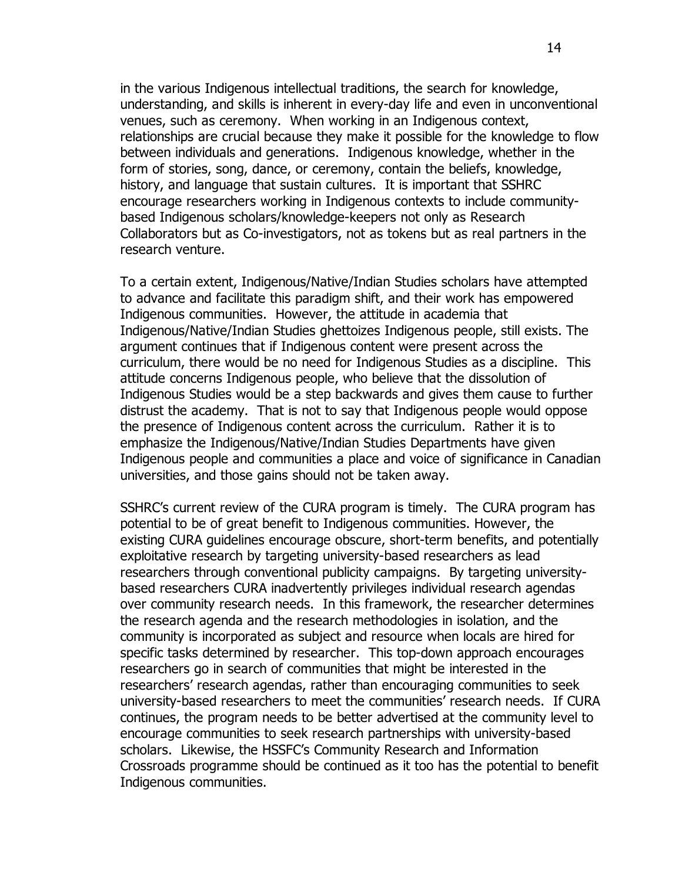in the various Indigenous intellectual traditions, the search for knowledge, understanding, and skills is inherent in every-day life and even in unconventional venues, such as ceremony. When working in an Indigenous context, relationships are crucial because they make it possible for the knowledge to flow between individuals and generations. Indigenous knowledge, whether in the form of stories, song, dance, or ceremony, contain the beliefs, knowledge, history, and language that sustain cultures. It is important that SSHRC encourage researchers working in Indigenous contexts to include communitybased Indigenous scholars/knowledge-keepers not only as Research Collaborators but as Co-investigators, not as tokens but as real partners in the research venture.

To a certain extent, Indigenous/Native/Indian Studies scholars have attempted to advance and facilitate this paradigm shift, and their work has empowered Indigenous communities. However, the attitude in academia that Indigenous/Native/Indian Studies ghettoizes Indigenous people, still exists. The argument continues that if Indigenous content were present across the curriculum, there would be no need for Indigenous Studies as a discipline. This attitude concerns Indigenous people, who believe that the dissolution of Indigenous Studies would be a step backwards and gives them cause to further distrust the academy. That is not to say that Indigenous people would oppose the presence of Indigenous content across the curriculum. Rather it is to emphasize the Indigenous/Native/Indian Studies Departments have given Indigenous people and communities a place and voice of significance in Canadian universities, and those gains should not be taken away.

SSHRC's current review of the CURA program is timely. The CURA program has potential to be of great benefit to Indigenous communities. However, the existing CURA guidelines encourage obscure, short-term benefits, and potentially exploitative research by targeting university-based researchers as lead researchers through conventional publicity campaigns. By targeting universitybased researchers CURA inadvertently privileges individual research agendas over community research needs. In this framework, the researcher determines the research agenda and the research methodologies in isolation, and the community is incorporated as subject and resource when locals are hired for specific tasks determined by researcher. This top-down approach encourages researchers go in search of communities that might be interested in the researchers' research agendas, rather than encouraging communities to seek university-based researchers to meet the communities' research needs. If CURA continues, the program needs to be better advertised at the community level to encourage communities to seek research partnerships with university-based scholars. Likewise, the HSSFC's Community Research and Information Crossroads programme should be continued as it too has the potential to benefit Indigenous communities.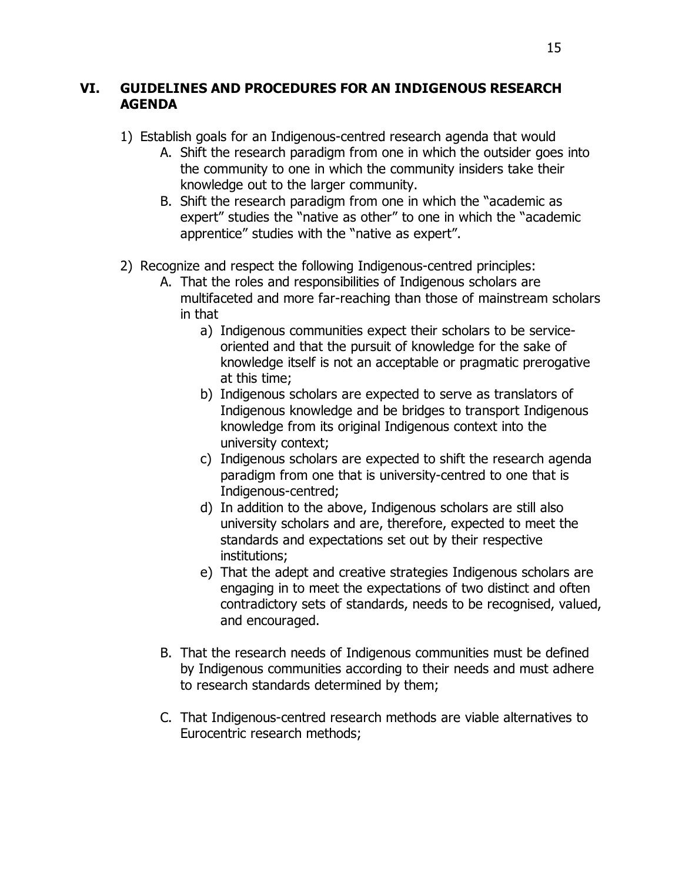## **VI. GUIDELINES AND PROCEDURES FOR AN INDIGENOUS RESEARCH AGENDA**

- 1) Establish goals for an Indigenous-centred research agenda that would
	- A. Shift the research paradigm from one in which the outsider goes into the community to one in which the community insiders take their knowledge out to the larger community.
	- B. Shift the research paradigm from one in which the "academic as expert" studies the "native as other" to one in which the "academic apprentice" studies with the "native as expert".
- 2) Recognize and respect the following Indigenous-centred principles:
	- A. That the roles and responsibilities of Indigenous scholars are multifaceted and more far-reaching than those of mainstream scholars in that
		- a) Indigenous communities expect their scholars to be serviceoriented and that the pursuit of knowledge for the sake of knowledge itself is not an acceptable or pragmatic prerogative at this time;
		- b) Indigenous scholars are expected to serve as translators of Indigenous knowledge and be bridges to transport Indigenous knowledge from its original Indigenous context into the university context;
		- c) Indigenous scholars are expected to shift the research agenda paradigm from one that is university-centred to one that is Indigenous-centred;
		- d) In addition to the above, Indigenous scholars are still also university scholars and are, therefore, expected to meet the standards and expectations set out by their respective institutions;
		- e) That the adept and creative strategies Indigenous scholars are engaging in to meet the expectations of two distinct and often contradictory sets of standards, needs to be recognised, valued, and encouraged.
	- B. That the research needs of Indigenous communities must be defined by Indigenous communities according to their needs and must adhere to research standards determined by them;
	- C. That Indigenous-centred research methods are viable alternatives to Eurocentric research methods;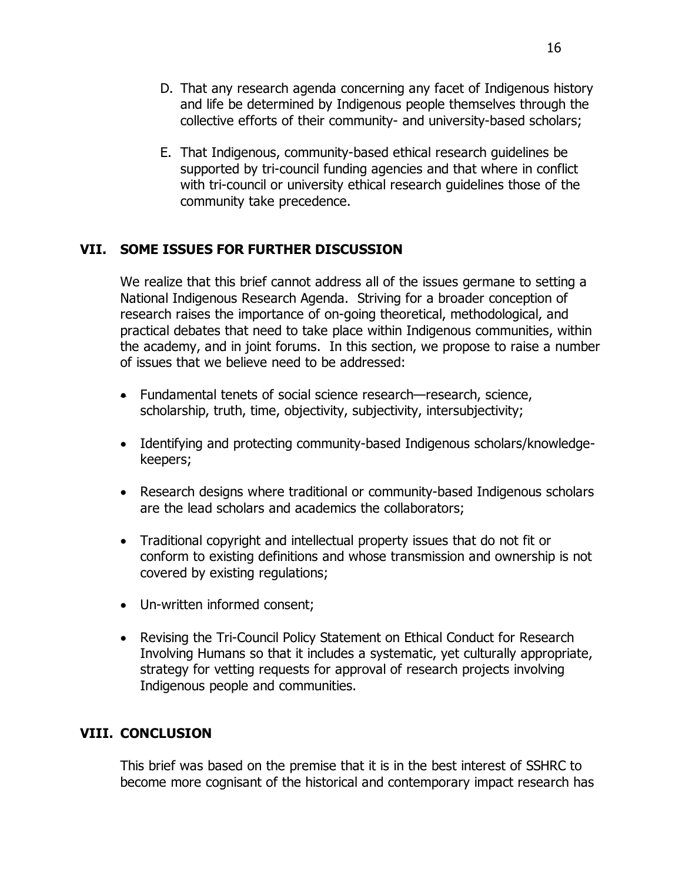- D. That any research agenda concerning any facet of Indigenous history and life be determined by Indigenous people themselves through the collective efforts of their community- and university-based scholars;
- E. That Indigenous, community-based ethical research guidelines be supported by tri-council funding agencies and that where in conflict with tri-council or university ethical research guidelines those of the community take precedence.

# **VII. SOME ISSUES FOR FURTHER DISCUSSION**

We realize that this brief cannot address all of the issues germane to setting a National Indigenous Research Agenda. Striving for a broader conception of research raises the importance of on-going theoretical, methodological, and practical debates that need to take place within Indigenous communities, within the academy, and in joint forums. In this section, we propose to raise a number of issues that we believe need to be addressed:

- Fundamental tenets of social science research—research, science, scholarship, truth, time, objectivity, subjectivity, intersubjectivity;
- Identifying and protecting community-based Indigenous scholars/knowledgekeepers;
- Research designs where traditional or community-based Indigenous scholars are the lead scholars and academics the collaborators;
- Traditional copyright and intellectual property issues that do not fit or conform to existing definitions and whose transmission and ownership is not covered by existing regulations;
- Un-written informed consent;
- Revising the Tri-Council Policy Statement on Ethical Conduct for Research Involving Humans so that it includes a systematic, yet culturally appropriate, strategy for vetting requests for approval of research projects involving Indigenous people and communities.

## **VIII. CONCLUSION**

This brief was based on the premise that it is in the best interest of SSHRC to become more cognisant of the historical and contemporary impact research has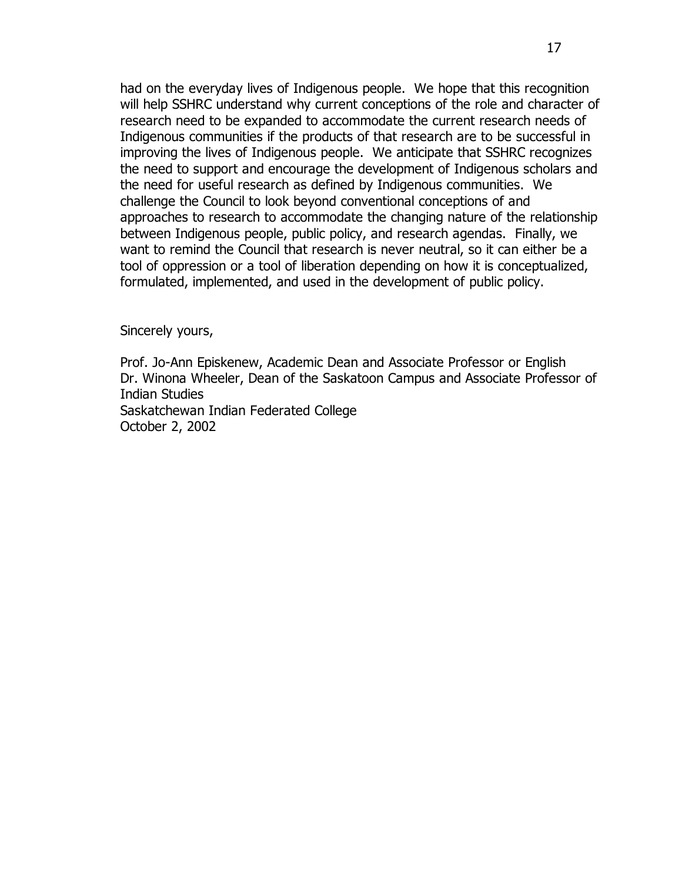had on the everyday lives of Indigenous people. We hope that this recognition will help SSHRC understand why current conceptions of the role and character of research need to be expanded to accommodate the current research needs of Indigenous communities if the products of that research are to be successful in improving the lives of Indigenous people. We anticipate that SSHRC recognizes the need to support and encourage the development of Indigenous scholars and the need for useful research as defined by Indigenous communities. We challenge the Council to look beyond conventional conceptions of and approaches to research to accommodate the changing nature of the relationship between Indigenous people, public policy, and research agendas. Finally, we want to remind the Council that research is never neutral, so it can either be a tool of oppression or a tool of liberation depending on how it is conceptualized, formulated, implemented, and used in the development of public policy.

Sincerely yours,

Prof. Jo-Ann Episkenew, Academic Dean and Associate Professor or English Dr. Winona Wheeler, Dean of the Saskatoon Campus and Associate Professor of Indian Studies Saskatchewan Indian Federated College October 2, 2002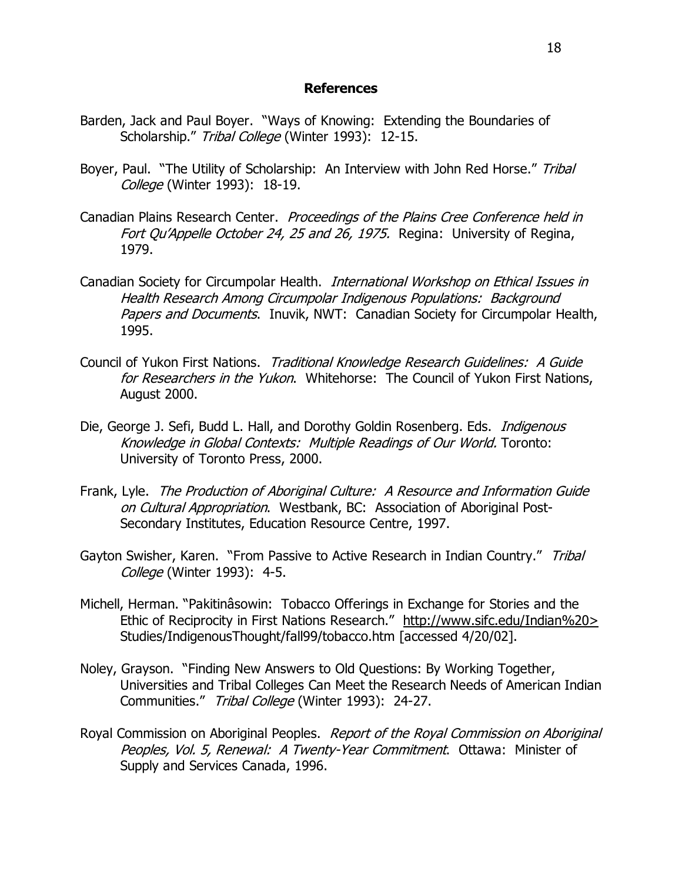#### **References**

- Barden, Jack and Paul Boyer. "Ways of Knowing: Extending the Boundaries of Scholarship." Tribal College (Winter 1993): 12-15.
- Boyer, Paul. "The Utility of Scholarship: An Interview with John Red Horse." Tribal College (Winter 1993): 18-19.
- Canadian Plains Research Center. Proceedings of the Plains Cree Conference held in Fort Ou'Appelle October 24, 25 and 26, 1975. Regina: University of Regina, 1979.
- Canadian Society for Circumpolar Health. International Workshop on Ethical Issues in Health Research Among Circumpolar Indigenous Populations: Background Papers and Documents. Inuvik, NWT: Canadian Society for Circumpolar Health, 1995.
- Council of Yukon First Nations. Traditional Knowledge Research Guidelines: A Guide for Researchers in the Yukon. Whitehorse: The Council of Yukon First Nations, August 2000.
- Die, George J. Sefi, Budd L. Hall, and Dorothy Goldin Rosenberg. Eds. *Indigenous* Knowledge in Global Contexts: Multiple Readings of Our World. Toronto: University of Toronto Press, 2000.
- Frank, Lyle. The Production of Aboriginal Culture: A Resource and Information Guide on Cultural Appropriation. Westbank, BC: Association of Aboriginal Post-Secondary Institutes, Education Resource Centre, 1997.
- Gayton Swisher, Karen. "From Passive to Active Research in Indian Country." Tribal College (Winter 1993): 4-5.
- Michell, Herman. "Pakitinâsowin: Tobacco Offerings in Exchange for Stories and the Ethic of Reciprocity in First Nations Research." http://www.sifc.edu/Indian%20> Studies/IndigenousThought/fall99/tobacco.htm [accessed 4/20/02].
- Noley, Grayson. "Finding New Answers to Old Questions: By Working Together, Universities and Tribal Colleges Can Meet the Research Needs of American Indian Communities." Tribal College (Winter 1993): 24-27.
- Royal Commission on Aboriginal Peoples. Report of the Royal Commission on Aboriginal Peoples, Vol. 5, Renewal: A Twenty-Year Commitment. Ottawa: Minister of Supply and Services Canada, 1996.